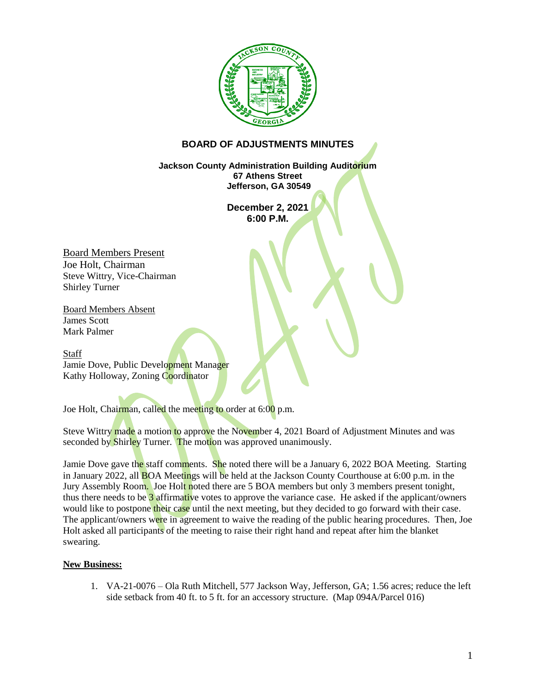

## **BOARD OF ADJUSTMENTS MINUTES**

**Jackson County Administration Building Auditorium 67 Athens Street Jefferson, GA 30549**

> **December 2, 2021 6:00 P.M.**

Board Members Present Joe Holt, Chairman Steve Wittry, Vice-Chairman Shirley Turner

Board Members Absent James Scott Mark Palmer

Staff Jamie Dove, Public Development Manager Kathy Holloway, Zoning Coordinator

Joe Holt, Chairman, called the meeting to order at 6:00 p.m.

Steve Wittry made a motion to approve the November 4, 2021 Board of Adjustment Minutes and was seconded by Shirley Turner. The motion was approved unanimously.

Jamie Dove gave the staff comments. She noted there will be a January 6, 2022 BOA Meeting. Starting in January 2022, all **BOA** Meetings will be held at the Jackson County Courthouse at 6:00 p.m. in the Jury Assembly Room. Joe Holt noted there are 5 BOA members but only 3 members present tonight, thus there needs to be 3 affirmative votes to approve the variance case. He asked if the applicant/owners would like to postpone their case until the next meeting, but they decided to go forward with their case. The applicant/owners were in agreement to waive the reading of the public hearing procedures. Then, Joe Holt asked all participants of the meeting to raise their right hand and repeat after him the blanket swearing.

## **New Business:**

1. VA-21-0076 – Ola Ruth Mitchell, 577 Jackson Way, Jefferson, GA; 1.56 acres; reduce the left side setback from 40 ft. to 5 ft. for an accessory structure. (Map 094A/Parcel 016)